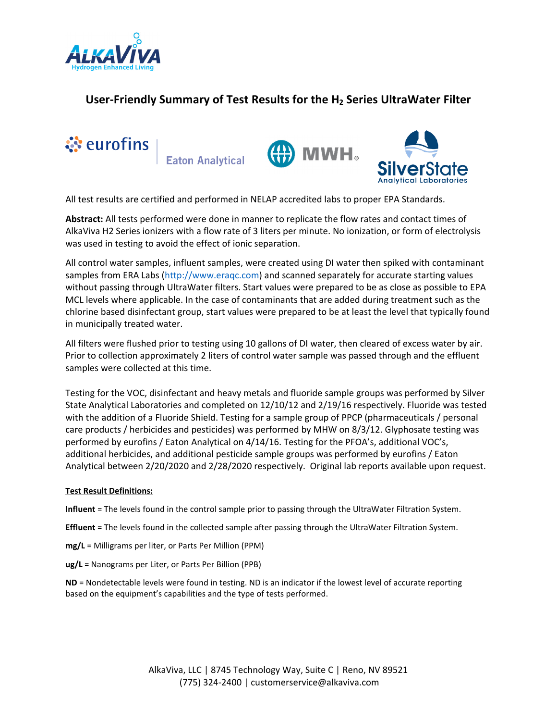

# **User‐Friendly Summary of Test Results for the H2 Series UltraWater Filter**



All test results are certified and performed in NELAP accredited labs to proper EPA Standards.

**Abstract:** All tests performed were done in manner to replicate the flow rates and contact times of AlkaViva H2 Series ionizers with a flow rate of 3 liters per minute. No ionization, or form of electrolysis was used in testing to avoid the effect of ionic separation.

All control water samples, influent samples, were created using DI water then spiked with contaminant samples from ERA Labs (http://www.eraqc.com) and scanned separately for accurate starting values without passing through UltraWater filters. Start values were prepared to be as close as possible to EPA MCL levels where applicable. In the case of contaminants that are added during treatment such as the chlorine based disinfectant group, start values were prepared to be at least the level that typically found in municipally treated water.

All filters were flushed prior to testing using 10 gallons of DI water, then cleared of excess water by air. Prior to collection approximately 2 liters of control water sample was passed through and the effluent samples were collected at this time.

Testing for the VOC, disinfectant and heavy metals and fluoride sample groups was performed by Silver State Analytical Laboratories and completed on 12/10/12 and 2/19/16 respectively. Fluoride was tested with the addition of a Fluoride Shield. Testing for a sample group of PPCP (pharmaceuticals / personal care products / herbicides and pesticides) was performed by MHW on 8/3/12. Glyphosate testing was performed by eurofins / Eaton Analytical on 4/14/16. Testing for the PFOA's, additional VOC's, additional herbicides, and additional pesticide sample groups was performed by eurofins / Eaton Analytical between 2/20/2020 and 2/28/2020 respectively. Original lab reports available upon request.

#### **Test Result Definitions:**

**Influent** = The levels found in the control sample prior to passing through the UltraWater Filtration System.

**Effluent** = The levels found in the collected sample after passing through the UltraWater Filtration System.

- **mg/L** = Milligrams per liter, or Parts Per Million (PPM)
- **ug/L** = Nanograms per Liter, or Parts Per Billion (PPB)

**ND** = Nondetectable levels were found in testing. ND is an indicator if the lowest level of accurate reporting based on the equipment's capabilities and the type of tests performed.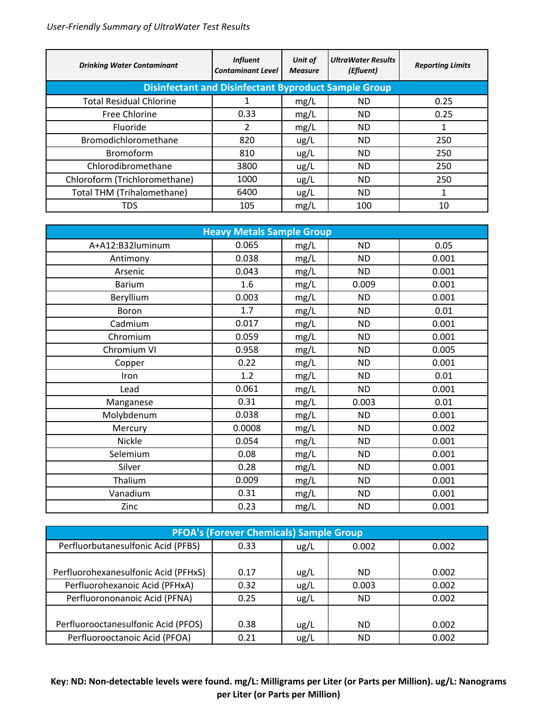| <b>Drinking Water Contaminant</b> | <b>Influent</b><br><b>Contaminant Level</b>                 | Unit of<br><b>Measure</b> | <b>UltraWater Results</b><br>(Efluent) | <b>Reporting Limits</b> |
|-----------------------------------|-------------------------------------------------------------|---------------------------|----------------------------------------|-------------------------|
|                                   | <b>Disinfectant and Disinfectant Byproduct Sample Group</b> |                           |                                        |                         |
| <b>Total Residual Chlorine</b>    |                                                             | mg/L                      | ND.                                    | 0.25                    |
| Free Chlorine                     | 0.33                                                        | mg/L                      | ND.                                    | 0.25                    |
| Fluoride                          | 2                                                           | mg/L                      | ND.                                    |                         |
| Bromodichloromethane              | 820                                                         | ug/L                      | ND.                                    | 250                     |
| <b>Bromoform</b>                  | 810                                                         | ug/L                      | ND.                                    | 250                     |
| Chlorodibromethane                | 3800                                                        | ug/L                      | ND.                                    | 250                     |
| Chloroform (Trichloromethane)     | 1000                                                        | ug/L                      | ND.                                    | 250                     |
| Total THM (Trihalomethane)        | 6400                                                        | ug/L                      | ND.                                    | T                       |
| <b>TDS</b>                        | 105                                                         | mg/L                      | 100                                    | 10                      |

| <b>Heavy Metals Sample Group</b> |        |      |           |       |
|----------------------------------|--------|------|-----------|-------|
| A+A12:B32luminum                 | 0.065  | mg/L | <b>ND</b> | 0.05  |
| Antimony                         | 0.038  | mg/L | <b>ND</b> | 0.001 |
| Arsenic                          | 0.043  | mg/L | <b>ND</b> | 0.001 |
| <b>Barium</b>                    | 1.6    | mg/L | 0.009     | 0.001 |
| Beryllium                        | 0.003  | mg/L | <b>ND</b> | 0.001 |
| <b>Boron</b>                     | 1.7    | mg/L | <b>ND</b> | 0.01  |
| Cadmium                          | 0.017  | mg/L | ND.       | 0.001 |
| Chromium                         | 0.059  | mg/L | <b>ND</b> | 0.001 |
| Chromium VI                      | 0.958  | mg/L | <b>ND</b> | 0.005 |
| Copper                           | 0.22   | mg/L | <b>ND</b> | 0.001 |
| Iron                             | 1.2    | mg/L | <b>ND</b> | 0.01  |
| Lead                             | 0.061  | mg/L | <b>ND</b> | 0.001 |
| Manganese                        | 0.31   | mg/L | 0.003     | 0.01  |
| Molybdenum                       | 0.038  | mg/L | <b>ND</b> | 0.001 |
| Mercury                          | 0.0008 | mg/L | <b>ND</b> | 0.002 |
| Nickle                           | 0.054  | mg/L | <b>ND</b> | 0.001 |
| Selemium                         | 0.08   | mg/L | <b>ND</b> | 0.001 |
| Silver                           | 0.28   | mg/L | <b>ND</b> | 0.001 |
| Thalium                          | 0.009  | mg/L | <b>ND</b> | 0.001 |
| Vanadium                         | 0.31   | mg/L | <b>ND</b> | 0.001 |
| Zinc                             | 0.23   | mg/L | <b>ND</b> | 0.001 |

| <b>PFOA's (Forever Chemicals) Sample Group</b> |      |      |           |       |
|------------------------------------------------|------|------|-----------|-------|
| Perfluorbutanesulfonic Acid (PFBS)             | 0.33 | ug/L | 0.002     | 0.002 |
|                                                |      |      |           |       |
| Perfluorohexanesulfonic Acid (PFHxS)           | 0.17 | ug/L | ND.       | 0.002 |
| Perfluorohexanoic Acid (PFHxA)                 | 0.32 | ug/L | 0.003     | 0.002 |
| Perfluorononanoic Acid (PFNA)                  | 0.25 | ug/L | <b>ND</b> | 0.002 |
|                                                |      |      |           |       |
| Perfluorooctanesulfonic Acid (PFOS)            | 0.38 | ug/L | ND.       | 0.002 |
| Perfluorooctanoic Acid (PFOA)                  | 0.21 | ug/L | <b>ND</b> | 0.002 |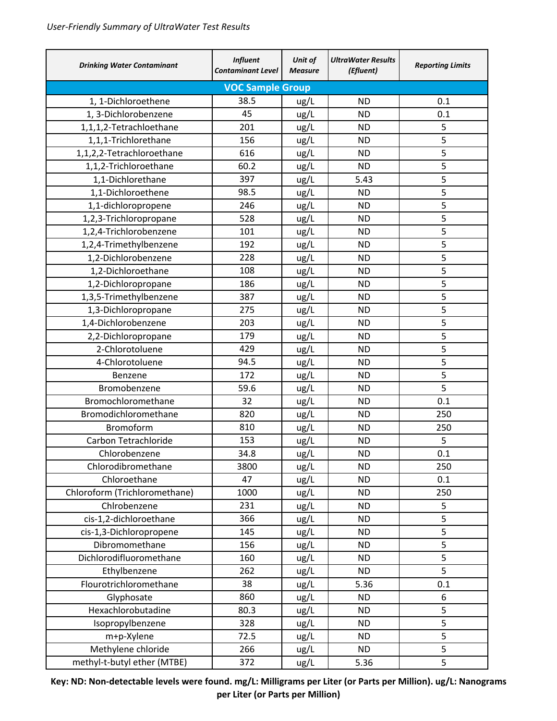| <b>Drinking Water Contaminant</b> | <b>Influent</b><br><b>Contaminant Level</b> | Unit of<br><b>Measure</b> | <b>UltraWater Results</b><br>(Efluent) | <b>Reporting Limits</b> |
|-----------------------------------|---------------------------------------------|---------------------------|----------------------------------------|-------------------------|
|                                   | <b>VOC Sample Group</b>                     |                           |                                        |                         |
| 1, 1-Dichloroethene               | 38.5                                        | ug/L                      | <b>ND</b>                              | 0.1                     |
| 1, 3-Dichlorobenzene              | 45                                          | ug/L                      | <b>ND</b>                              | 0.1                     |
| 1,1,1,2-Tetrachloethane           | 201                                         | ug/L                      | <b>ND</b>                              | 5                       |
| 1,1,1-Trichlorethane              | 156                                         | ug/L                      | <b>ND</b>                              | 5                       |
| 1,1,2,2-Tetrachloroethane         | 616                                         | ug/L                      | <b>ND</b>                              | 5                       |
| 1,1,2-Trichloroethane             | 60.2                                        | ug/L                      | <b>ND</b>                              | 5                       |
| 1,1-Dichlorethane                 | 397                                         | ug/L                      | 5.43                                   | 5                       |
| 1,1-Dichloroethene                | 98.5                                        | ug/L                      | <b>ND</b>                              | 5                       |
| 1,1-dichloropropene               | 246                                         | ug/L                      | <b>ND</b>                              | 5                       |
| 1,2,3-Trichloropropane            | 528                                         | ug/L                      | <b>ND</b>                              | 5                       |
| 1,2,4-Trichlorobenzene            | 101                                         | ug/L                      | <b>ND</b>                              | 5                       |
| 1,2,4-Trimethylbenzene            | 192                                         | ug/L                      | <b>ND</b>                              | 5                       |
| 1,2-Dichlorobenzene               | 228                                         | ug/L                      | <b>ND</b>                              | 5                       |
| 1,2-Dichloroethane                | 108                                         | ug/L                      | <b>ND</b>                              | 5                       |
| 1,2-Dichloropropane               | 186                                         | ug/L                      | <b>ND</b>                              | 5                       |
| 1,3,5-Trimethylbenzene            | 387                                         | ug/L                      | <b>ND</b>                              | 5                       |
| 1,3-Dichloropropane               | 275                                         | ug/L                      | <b>ND</b>                              | 5                       |
| 1,4-Dichlorobenzene               | 203                                         | ug/L                      | <b>ND</b>                              | 5                       |
| 2,2-Dichloropropane               | 179                                         | ug/L                      | <b>ND</b>                              | 5                       |
| 2-Chlorotoluene                   | 429                                         | ug/L                      | <b>ND</b>                              | 5                       |
| 4-Chlorotoluene                   | 94.5                                        | ug/L                      | <b>ND</b>                              | 5                       |
| Benzene                           | 172                                         | ug/L                      | <b>ND</b>                              | 5                       |
| Bromobenzene                      | 59.6                                        | ug/L                      | <b>ND</b>                              | 5                       |
| Bromochloromethane                | 32                                          | ug/L                      | <b>ND</b>                              | 0.1                     |
| Bromodichloromethane              | 820                                         | ug/L                      | <b>ND</b>                              | 250                     |
| Bromoform                         | 810                                         | ug/L                      | <b>ND</b>                              | 250                     |
| Carbon Tetrachloride              | 153                                         | ug/L                      | <b>ND</b>                              | 5                       |
| Chlorobenzene                     | 34.8                                        | ug/L                      | <b>ND</b>                              | 0.1                     |
| Chlorodibromethane                | 3800                                        | ug/L                      | <b>ND</b>                              | 250                     |
| Chloroethane                      | 47                                          | ug/L                      | <b>ND</b>                              | 0.1                     |
| Chloroform (Trichloromethane)     | 1000                                        | ug/L                      | <b>ND</b>                              | 250                     |
| Chlrobenzene                      | 231                                         | ug/L                      | <b>ND</b>                              | 5                       |
| cis-1,2-dichloroethane            | 366                                         | ug/L                      | <b>ND</b>                              | 5                       |
| cis-1,3-Dichloropropene           | 145                                         | ug/L                      | <b>ND</b>                              | 5                       |
| Dibromomethane                    | 156                                         | ug/L                      | <b>ND</b>                              | 5                       |
| Dichlorodifluoromethane           | 160                                         | ug/L                      | <b>ND</b>                              | 5                       |
| Ethylbenzene                      | 262                                         | ug/L                      | <b>ND</b>                              | 5                       |
| Flourotrichloromethane            | 38                                          | ug/L                      | 5.36                                   | 0.1                     |
| Glyphosate                        | 860                                         | ug/L                      | <b>ND</b>                              | 6                       |
| Hexachlorobutadine                | 80.3                                        | ug/L                      | <b>ND</b>                              | 5                       |
| Isopropylbenzene                  | 328                                         | ug/L                      | <b>ND</b>                              | 5                       |
| m+p-Xylene                        | 72.5                                        | ug/L                      | <b>ND</b>                              | 5                       |
| Methylene chloride                | 266                                         | ug/L                      | <b>ND</b>                              | 5                       |
| methyl-t-butyl ether (MTBE)       | 372                                         | ug/L                      | 5.36                                   | 5                       |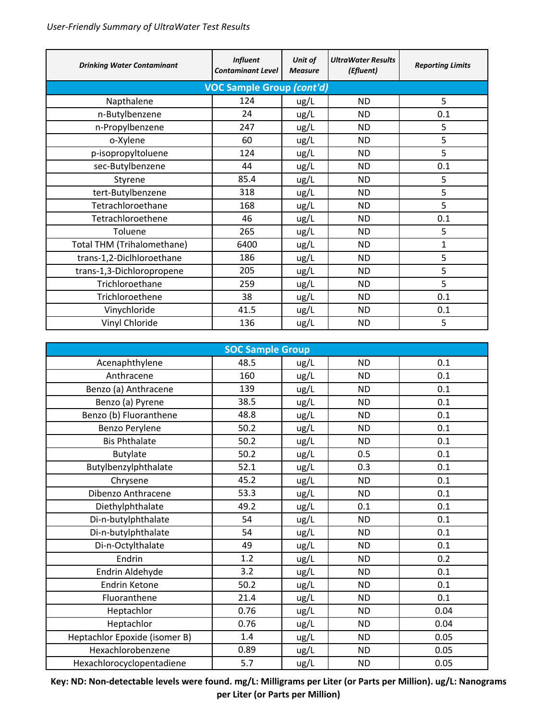| <b>Drinking Water Contaminant</b> | <b>Influent</b><br><b>Contaminant Level</b> | Unit of<br><b>Measure</b> | <b>UltraWater Results</b><br>(Efluent) | <b>Reporting Limits</b> |
|-----------------------------------|---------------------------------------------|---------------------------|----------------------------------------|-------------------------|
|                                   | <b>VOC Sample Group (cont'd)</b>            |                           |                                        |                         |
| Napthalene                        | 124                                         | ug/L                      | <b>ND</b>                              | 5                       |
| n-Butylbenzene                    | 24                                          | ug/L                      | <b>ND</b>                              | 0.1                     |
| n-Propylbenzene                   | 247                                         | ug/L                      | ND                                     | 5                       |
| o-Xylene                          | 60                                          | ug/L                      | <b>ND</b>                              | 5                       |
| p-isopropyltoluene                | 124                                         | ug/L                      | <b>ND</b>                              | 5                       |
| sec-Butylbenzene                  | 44                                          | ug/L                      | <b>ND</b>                              | 0.1                     |
| Styrene                           | 85.4                                        | ug/L                      | <b>ND</b>                              | 5                       |
| tert-Butylbenzene                 | 318                                         | ug/L                      | <b>ND</b>                              | 5                       |
| Tetrachloroethane                 | 168                                         | ug/L                      | <b>ND</b>                              | 5                       |
| Tetrachloroethene                 | 46                                          | ug/L                      | <b>ND</b>                              | 0.1                     |
| Toluene                           | 265                                         | ug/L                      | <b>ND</b>                              | 5                       |
| Total THM (Trihalomethane)        | 6400                                        | ug/L                      | <b>ND</b>                              | $\mathbf{1}$            |
| trans-1,2-Diclhloroethane         | 186                                         | ug/L                      | <b>ND</b>                              | 5                       |
| trans-1,3-Dichloropropene         | 205                                         | ug/L                      | <b>ND</b>                              | 5                       |
| Trichloroethane                   | 259                                         | ug/L                      | ND                                     | 5                       |
| Trichloroethene                   | 38                                          | ug/L                      | ND                                     | 0.1                     |
| Vinychloride                      | 41.5                                        | ug/L                      | <b>ND</b>                              | 0.1                     |
| Vinyl Chloride                    | 136                                         | ug/L                      | <b>ND</b>                              | 5                       |

| <b>SOC Sample Group</b>       |      |      |           |      |
|-------------------------------|------|------|-----------|------|
| Acenaphthylene                | 48.5 | ug/L | <b>ND</b> | 0.1  |
| Anthracene                    | 160  | ug/L | <b>ND</b> | 0.1  |
| Benzo (a) Anthracene          | 139  | ug/L | <b>ND</b> | 0.1  |
| Benzo (a) Pyrene              | 38.5 | ug/L | <b>ND</b> | 0.1  |
| Benzo (b) Fluoranthene        | 48.8 | ug/L | <b>ND</b> | 0.1  |
| Benzo Perylene                | 50.2 | ug/L | <b>ND</b> | 0.1  |
| <b>Bis Phthalate</b>          | 50.2 | ug/L | <b>ND</b> | 0.1  |
| <b>Butylate</b>               | 50.2 | ug/L | 0.5       | 0.1  |
| Butylbenzylphthalate          | 52.1 | ug/L | 0.3       | 0.1  |
| Chrysene                      | 45.2 | ug/L | <b>ND</b> | 0.1  |
| Dibenzo Anthracene            | 53.3 | ug/L | <b>ND</b> | 0.1  |
| Diethylphthalate              | 49.2 | ug/L | 0.1       | 0.1  |
| Di-n-butylphthalate           | 54   | ug/L | <b>ND</b> | 0.1  |
| Di-n-butylphthalate           | 54   | ug/L | <b>ND</b> | 0.1  |
| Di-n-Octylthalate             | 49   | ug/L | <b>ND</b> | 0.1  |
| Endrin                        | 1.2  | ug/L | <b>ND</b> | 0.2  |
| Endrin Aldehyde               | 3.2  | ug/L | <b>ND</b> | 0.1  |
| <b>Endrin Ketone</b>          | 50.2 | ug/L | <b>ND</b> | 0.1  |
| Fluoranthene                  | 21.4 | ug/L | <b>ND</b> | 0.1  |
| Heptachlor                    | 0.76 | ug/L | <b>ND</b> | 0.04 |
| Heptachlor                    | 0.76 | ug/L | <b>ND</b> | 0.04 |
| Heptachlor Epoxide (isomer B) | 1.4  | ug/L | <b>ND</b> | 0.05 |
| Hexachlorobenzene             | 0.89 | ug/L | <b>ND</b> | 0.05 |
| Hexachlorocyclopentadiene     | 5.7  | ug/L | <b>ND</b> | 0.05 |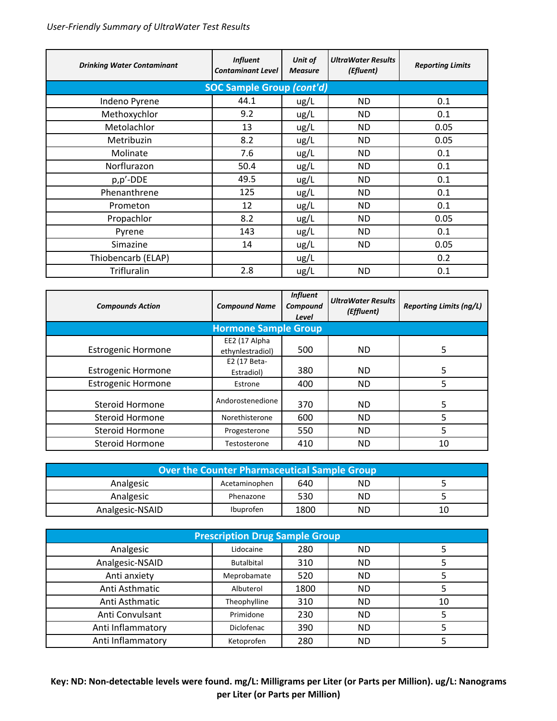| <b>Drinking Water Contaminant</b> | <b>Influent</b><br><b>Contaminant Level</b> | Unit of<br><b>Measure</b> | <b>UltraWater Results</b><br>(Efluent) | <b>Reporting Limits</b> |  |  |  |
|-----------------------------------|---------------------------------------------|---------------------------|----------------------------------------|-------------------------|--|--|--|
|                                   | <b>SOC Sample Group (cont'd)</b>            |                           |                                        |                         |  |  |  |
| Indeno Pyrene                     | 44.1                                        | ug/L                      | ND.                                    | 0.1                     |  |  |  |
| Methoxychlor                      | 9.2                                         | ug/L                      | ND.                                    | 0.1                     |  |  |  |
| Metolachlor                       | 13                                          | ug/L                      | ND.                                    | 0.05                    |  |  |  |
| Metribuzin                        | 8.2                                         | ug/L                      | <b>ND</b>                              | 0.05                    |  |  |  |
| Molinate                          | 7.6                                         | ug/L                      | <b>ND</b>                              | 0.1                     |  |  |  |
| Norflurazon                       | 50.4                                        | ug/L                      | ND.                                    | 0.1                     |  |  |  |
| p,p'-DDE                          | 49.5                                        | ug/L                      | <b>ND</b>                              | 0.1                     |  |  |  |
| Phenanthrene                      | 125                                         | ug/L                      | ND.                                    | 0.1                     |  |  |  |
| Prometon                          | 12                                          | ug/L                      | ND.                                    | 0.1                     |  |  |  |
| Propachlor                        | 8.2                                         | ug/L                      | ND.                                    | 0.05                    |  |  |  |
| Pyrene                            | 143                                         | ug/L                      | ND.                                    | 0.1                     |  |  |  |
| Simazine                          | 14                                          | ug/L                      | ND.                                    | 0.05                    |  |  |  |
| Thiobencarb (ELAP)                |                                             | ug/L                      |                                        | 0.2                     |  |  |  |
| Trifluralin                       | 2.8                                         | ug/L                      | ND.                                    | 0.1                     |  |  |  |

| <b>Compounds Action</b>     | <b>Compound Name</b>              | <b>Influent</b><br>Compound<br>Level | <b>UltraWater Results</b><br>(Effluent) | <b>Reporting Limits (ng/L)</b> |  |
|-----------------------------|-----------------------------------|--------------------------------------|-----------------------------------------|--------------------------------|--|
| <b>Hormone Sample Group</b> |                                   |                                      |                                         |                                |  |
| <b>Estrogenic Hormone</b>   | EE2 (17 Alpha<br>ethynlestradiol) | 500                                  | ND.                                     | 5                              |  |
| <b>Estrogenic Hormone</b>   | E2 (17 Beta-<br>Estradiol)        | 380                                  | ND.                                     | 5                              |  |
| <b>Estrogenic Hormone</b>   | Estrone                           | 400                                  | ND.                                     | 5                              |  |
| Steroid Hormone             | Andorostenedione                  | 370                                  | ND.                                     | 5                              |  |
| <b>Steroid Hormone</b>      | Norethisterone                    | 600                                  | ND.                                     | 5                              |  |
| <b>Steroid Hormone</b>      | Progesterone                      | 550                                  | ND.                                     | 5                              |  |
| <b>Steroid Hormone</b>      | Testosterone                      | 410                                  | <b>ND</b>                               | 10                             |  |

| <b>Over the Counter Pharmaceutical Sample Group</b> |                  |      |    |    |
|-----------------------------------------------------|------------------|------|----|----|
| Analgesic                                           | Acetaminophen    | 640  | ΝD |    |
| Analgesic                                           | Phenazone        | 530  | ND |    |
| Analgesic-NSAID                                     | <b>Ibuprofen</b> | 1800 | ΝD | 10 |

| <b>Prescription Drug Sample Group</b> |                   |      |           |    |
|---------------------------------------|-------------------|------|-----------|----|
| Analgesic                             | Lidocaine         | 280  | ND.       |    |
| Analgesic-NSAID                       | <b>Butalbital</b> | 310  | <b>ND</b> |    |
| Anti anxiety                          | Meprobamate       | 520  | <b>ND</b> |    |
| Anti Asthmatic                        | Albuterol         | 1800 | <b>ND</b> |    |
| Anti Asthmatic                        | Theophylline      | 310  | <b>ND</b> | 10 |
| Anti Convulsant                       | Primidone         | 230  | ND.       |    |
| Anti Inflammatory                     | Diclofenac        | 390  | <b>ND</b> |    |
| Anti Inflammatory                     | Ketoprofen        | 280  | ΝD        |    |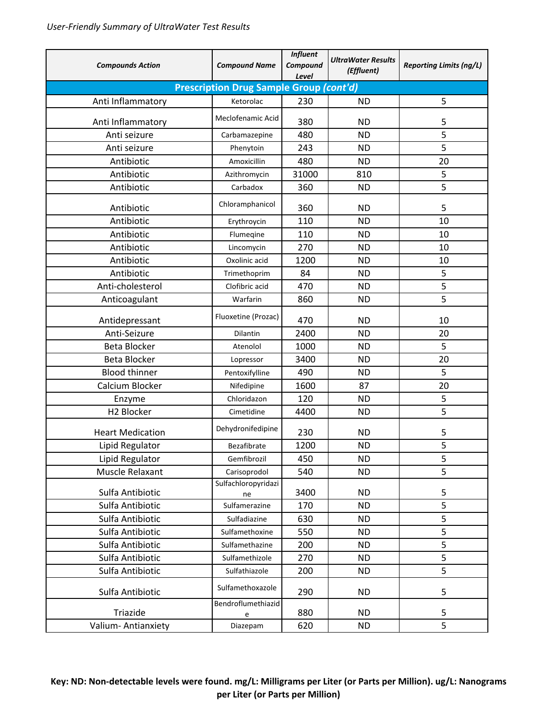| <b>Compounds Action</b> | <b>Compound Name</b>                           | <b>Influent</b><br>Compound<br>Level | <b>UltraWater Results</b><br>(Effluent) | <b>Reporting Limits (ng/L)</b> |
|-------------------------|------------------------------------------------|--------------------------------------|-----------------------------------------|--------------------------------|
|                         | <b>Prescription Drug Sample Group (cont'd)</b> |                                      |                                         |                                |
| Anti Inflammatory       | Ketorolac                                      | 230                                  | <b>ND</b>                               | 5                              |
| Anti Inflammatory       | Meclofenamic Acid                              | 380                                  | <b>ND</b>                               | 5                              |
| Anti seizure            | Carbamazepine                                  | 480                                  | <b>ND</b>                               | 5                              |
| Anti seizure            | Phenytoin                                      | 243                                  | <b>ND</b>                               | 5                              |
| Antibiotic              | Amoxicillin                                    | 480                                  | <b>ND</b>                               | 20                             |
| Antibiotic              | Azithromycin                                   | 31000                                | 810                                     | 5                              |
| Antibiotic              | Carbadox                                       | 360                                  | <b>ND</b>                               | 5                              |
| Antibiotic              | Chloramphanicol                                | 360                                  | <b>ND</b>                               | 5                              |
| Antibiotic              | Erythroycin                                    | 110                                  | <b>ND</b>                               | 10                             |
| Antibiotic              | Flumeqine                                      | 110                                  | <b>ND</b>                               | 10                             |
| Antibiotic              | Lincomycin                                     | 270                                  | <b>ND</b>                               | 10                             |
| Antibiotic              | Oxolinic acid                                  | 1200                                 | <b>ND</b>                               | 10                             |
| Antibiotic              | Trimethoprim                                   | 84                                   | <b>ND</b>                               | 5                              |
| Anti-cholesterol        | Clofibric acid                                 | 470                                  | <b>ND</b>                               | 5                              |
| Anticoagulant           | Warfarin                                       | 860                                  | <b>ND</b>                               | 5                              |
| Antidepressant          | Fluoxetine (Prozac)                            | 470                                  | <b>ND</b>                               | 10                             |
| Anti-Seizure            | Dilantin                                       | 2400                                 | <b>ND</b>                               | 20                             |
| <b>Beta Blocker</b>     | Atenolol                                       | 1000                                 | <b>ND</b>                               | 5                              |
| <b>Beta Blocker</b>     | Lopressor                                      | 3400                                 | <b>ND</b>                               | 20                             |
| <b>Blood thinner</b>    | Pentoxifylline                                 | 490                                  | <b>ND</b>                               | 5                              |
| Calcium Blocker         | Nifedipine                                     | 1600                                 | 87                                      | 20                             |
| Enzyme                  | Chloridazon                                    | 120                                  | <b>ND</b>                               | 5                              |
| H2 Blocker              | Cimetidine                                     | 4400                                 | <b>ND</b>                               | 5                              |
| <b>Heart Medication</b> | Dehydronifedipine                              | 230                                  | <b>ND</b>                               | 5                              |
| Lipid Regulator         | Bezafibrate                                    | 1200                                 | <b>ND</b>                               | 5                              |
| Lipid Regulator         | Gemfibrozil                                    | 450                                  | <b>ND</b>                               | 5                              |
| Muscle Relaxant         | Carisoprodol                                   | 540                                  | <b>ND</b>                               | 5                              |
| Sulfa Antibiotic        | Sulfachloropyridazi<br>ne                      | 3400                                 | <b>ND</b>                               | 5                              |
| Sulfa Antibiotic        | Sulfamerazine                                  | 170                                  | <b>ND</b>                               | 5                              |
| Sulfa Antibiotic        | Sulfadiazine                                   | 630                                  | <b>ND</b>                               | 5                              |
| Sulfa Antibiotic        | Sulfamethoxine                                 | 550                                  | <b>ND</b>                               | 5                              |
| Sulfa Antibiotic        | Sulfamethazine                                 | 200                                  | <b>ND</b>                               | 5                              |
| Sulfa Antibiotic        | Sulfamethizole                                 | 270                                  | <b>ND</b>                               | $\overline{5}$                 |
| Sulfa Antibiotic        | Sulfathiazole                                  | 200                                  | <b>ND</b>                               | 5                              |
| Sulfa Antibiotic        | Sulfamethoxazole                               | 290                                  | <b>ND</b>                               | 5                              |
| Triazide                | Bendroflumethiazid                             | 880                                  | <b>ND</b>                               | 5                              |
| Valium-Antianxiety      | e<br>Diazepam                                  | 620                                  | <b>ND</b>                               | 5                              |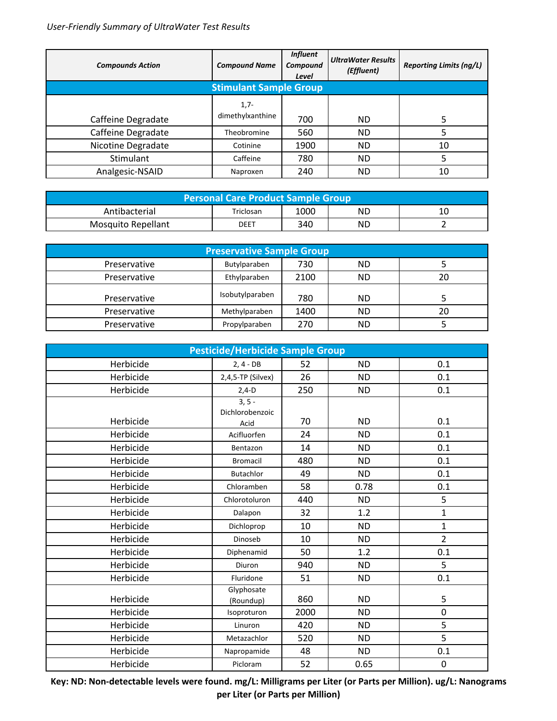| <b>Compounds Action</b>       | <b>Compound Name</b> | <b>Influent</b><br>Compound<br>Level | <b>UltraWater Results</b><br>(Effluent) | <b>Reporting Limits (ng/L)</b> |  |
|-------------------------------|----------------------|--------------------------------------|-----------------------------------------|--------------------------------|--|
| <b>Stimulant Sample Group</b> |                      |                                      |                                         |                                |  |
|                               | $1,7-$               |                                      |                                         |                                |  |
| Caffeine Degradate            | dimethylxanthine     | 700                                  | ND                                      |                                |  |
| Caffeine Degradate            | Theobromine          | 560                                  | <b>ND</b>                               |                                |  |
| Nicotine Degradate            | Cotinine             | 1900                                 | <b>ND</b>                               | 10                             |  |
| Stimulant                     | Caffeine             | 780                                  | <b>ND</b>                               |                                |  |
| Analgesic-NSAID               | Naproxen             | 240                                  | ΝD                                      | 10                             |  |

| Personal Care Product Sample Group |           |      |           |    |
|------------------------------------|-----------|------|-----------|----|
| Antibacterial                      | Triclosan | 1000 | <b>ND</b> | 10 |
| Mosquito Repellant                 | DEET      | 340  | <b>ND</b> |    |

| <b>Preservative Sample Group</b> |                 |      |           |    |
|----------------------------------|-----------------|------|-----------|----|
| Preservative                     | Butylparaben    | 730  | <b>ND</b> |    |
| Preservative                     | Ethylparaben    | 2100 | ND.       | 20 |
| Preservative                     | Isobutylparaben | 780  | ND.       |    |
| Preservative                     | Methylparaben   | 1400 | <b>ND</b> | 20 |
| Preservative                     | Propylparaben   | 270  | <b>ND</b> |    |

| <b>Pesticide/Herbicide Sample Group</b> |                             |      |           |                |
|-----------------------------------------|-----------------------------|------|-----------|----------------|
| Herbicide                               | $2, 4 - DB$                 | 52   | <b>ND</b> | 0.1            |
| Herbicide                               | 2,4,5-TP (Silvex)           | 26   | <b>ND</b> | 0.1            |
| Herbicide                               | $2,4-D$                     | 250  | <b>ND</b> | 0.1            |
|                                         | $3, 5 -$<br>Dichlorobenzoic |      |           |                |
| Herbicide                               | Acid                        | 70   | <b>ND</b> | 0.1            |
| Herbicide                               | Acifluorfen                 | 24   | <b>ND</b> | 0.1            |
| Herbicide                               | Bentazon                    | 14   | <b>ND</b> | 0.1            |
| Herbicide                               | <b>Bromacil</b>             | 480  | <b>ND</b> | 0.1            |
| Herbicide                               | <b>Butachlor</b>            | 49   | <b>ND</b> | 0.1            |
| Herbicide                               | Chloramben                  | 58   | 0.78      | 0.1            |
| Herbicide                               | Chlorotoluron               | 440  | <b>ND</b> | 5              |
| Herbicide                               | Dalapon                     | 32   | 1.2       | $\mathbf{1}$   |
| Herbicide                               | Dichloprop                  | 10   | <b>ND</b> | $\mathbf{1}$   |
| Herbicide                               | Dinoseb                     | 10   | <b>ND</b> | $\overline{2}$ |
| Herbicide                               | Diphenamid                  | 50   | 1.2       | 0.1            |
| Herbicide                               | Diuron                      | 940  | <b>ND</b> | 5              |
| Herbicide                               | Fluridone                   | 51   | <b>ND</b> | 0.1            |
| Herbicide                               | Glyphosate<br>(Roundup)     | 860  | <b>ND</b> | 5              |
| Herbicide                               | Isoproturon                 | 2000 | <b>ND</b> | 0              |
| Herbicide                               | Linuron                     | 420  | <b>ND</b> | 5              |
| Herbicide                               | Metazachlor                 | 520  | <b>ND</b> | 5              |
| Herbicide                               | Napropamide                 | 48   | <b>ND</b> | 0.1            |
| Herbicide                               | Picloram                    | 52   | 0.65      | 0              |